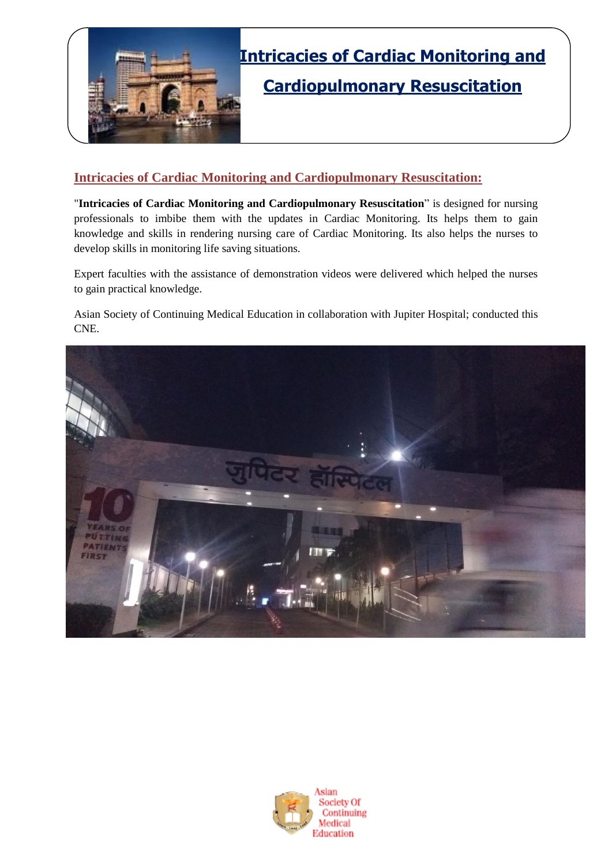

# **Intricacies of Cardiac Monitoring and Cardiopulmonary Resuscitation**

### **Intricacies of Cardiac Monitoring and Cardiopulmonary Resuscitation:**

"**Intricacies of Cardiac Monitoring and Cardiopulmonary Resuscitation**" is designed for nursing professionals to imbibe them with the updates in Cardiac Monitoring. Its helps them to gain knowledge and skills in rendering nursing care of Cardiac Monitoring. Its also helps the nurses to develop skills in monitoring life saving situations.

Expert faculties with the assistance of demonstration videos were delivered which helped the nurses to gain practical knowledge.

Asian Society of Continuing Medical Education in collaboration with Jupiter Hospital; conducted this CNE.



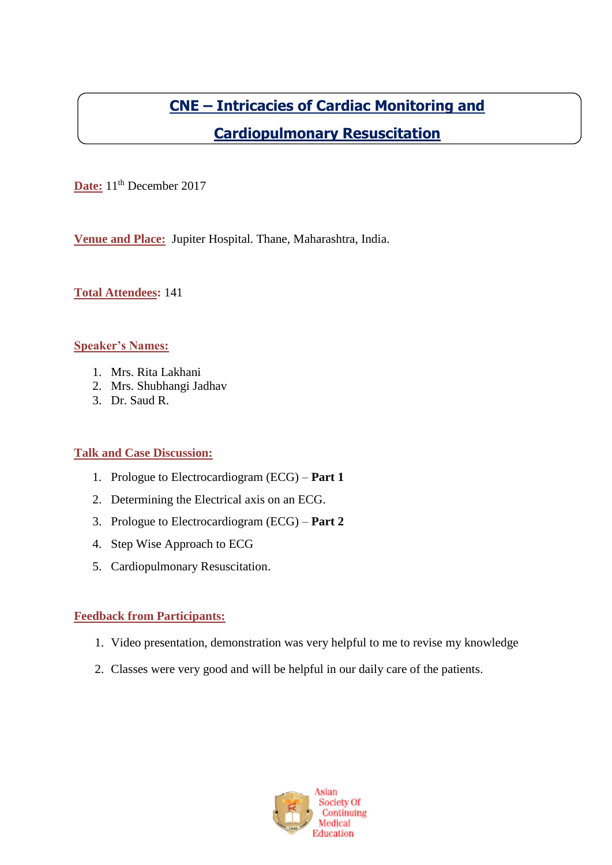# **CNE – Intricacies of Cardiac Monitoring and Cardiopulmonary Resuscitation**

Date: 11<sup>th</sup> December 2017

**Venue and Place:** Jupiter Hospital. Thane, Maharashtra, India.

**Total Attendees:** 141

#### **Speaker's Names:**

- 1. Mrs. Rita Lakhani
- 2. Mrs. Shubhangi Jadhav
- 3. Dr. Saud R.

#### **Talk and Case Discussion:**

- 1. Prologue to Electrocardiogram (ECG) **Part 1**
- 2. Determining the Electrical axis on an ECG.
- 3. Prologue to Electrocardiogram (ECG) **Part 2**
- 4. Step Wise Approach to ECG
- 5. Cardiopulmonary Resuscitation.

#### **Feedback from Participants:**

- 1. Video presentation, demonstration was very helpful to me to revise my knowledge
- 2. Classes were very good and will be helpful in our daily care of the patients.

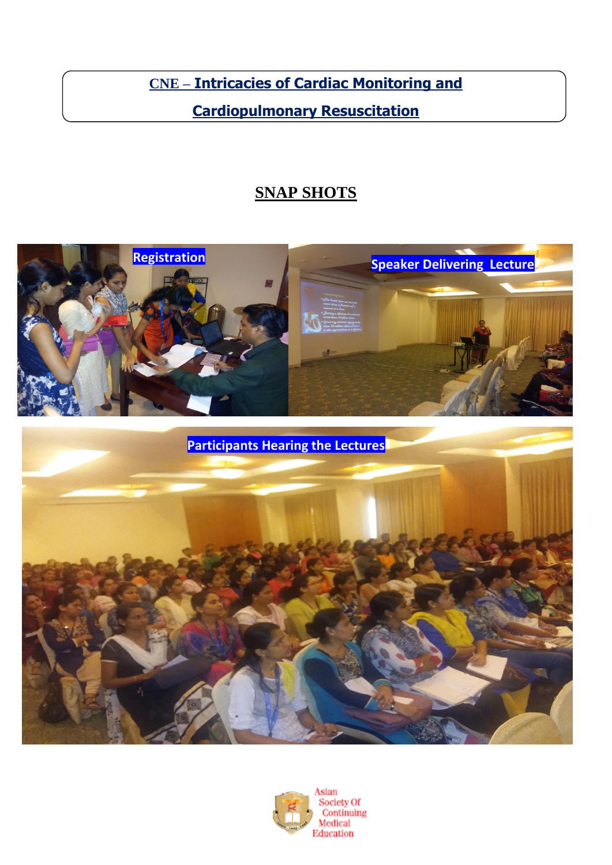**CNE – Intricacies of Cardiac Monitoring and** 

## **Cardiopulmonary Resuscitation**

### **SNAP SHOTS**